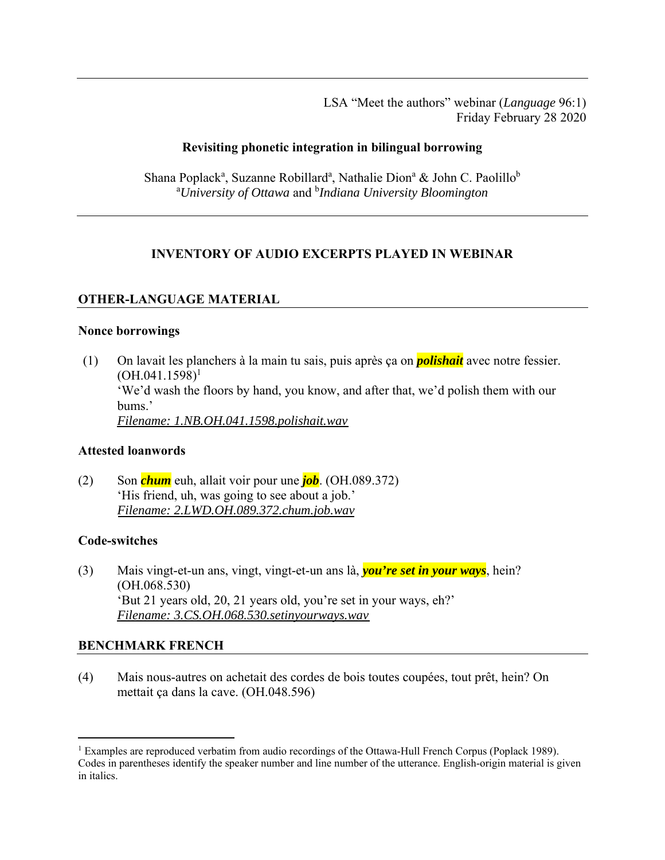LSA "Meet the authors" webinar (*Language* 96:1) Friday February 28 2020

### **Revisiting phonetic integration in bilingual borrowing**

Shana Poplack<sup>a</sup>, Suzanne Robillard<sup>a</sup>, Nathalie Dion<sup>a</sup> & John C. Paolillo<sup>b</sup> a *University of Ottawa* and b *Indiana University Bloomington*

## **INVENTORY OF AUDIO EXCERPTS PLAYED IN WEBINAR**

## **OTHER-LANGUAGE MATERIAL**

#### **Nonce borrowings**

(1) On lavait les planchers à la main tu sais, puis après ça on *polishait* avec notre fessier.  $(OH.041.1598)^1$ 'We'd wash the floors by hand, you know, and after that, we'd polish them with our bums.' *[Filename: 1.NB.OH.041.1598.polishait.wav](https://www.linguisticsociety.org/sites/default/files/1.NB_.OH_.041.1598.polishait.mp4)* 

#### **Attested loanwords**

(2) Son *chum* euh, allait voir pour une *job*. (OH.089.372) 'His friend, uh, was going to see about a job.' *[Filename: 2.LWD.OH.089.372.chum.job.wav](https://www.linguisticsociety.org/sites/default/files/2.LWD_.OH_.089.372.chum_.job_.mp4)* 

#### **Code-switches**

(3) Mais vingt-et-un ans, vingt, vingt-et-un ans là, *you're set in your ways*, hein? (OH.068.530) 'But 21 years old, 20, 21 years old, you're set in your ways, eh?' *[Filename: 3.CS.OH.068.530.setinyourways.wav](https://www.linguisticsociety.org/sites/default/files/3.CS_.OH_.068.530.setinyourways.mp4)* 

## **BENCHMARK FRENCH**

(4) Mais nous-autres on achetait des cordes de bois toutes coupées, tout prêt, hein? On mettait ça dans la cave. (OH.048.596)

<sup>&</sup>lt;sup>1</sup> Examples are reproduced verbatim from audio recordings of the Ottawa-Hull French Corpus (Poplack 1989). Codes in parentheses identify the speaker number and line number of the utterance. English-origin material is given in italics.